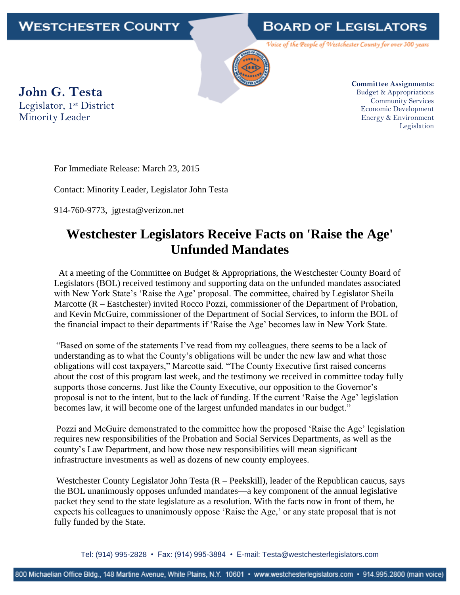## WESTCHESTER COUNTY

## **BOARD OF LEGISLATORS**

Voice of the People of Westchester County for over 300 years



**John G. Testa** Legislator, 1st District Minority Leader

**Committee Assignments:** Budget & Appropriations Community Services Economic Development Energy & Environment Legislation

For Immediate Release: March 23, 2015

Contact: Minority Leader, Legislator John Testa

914-760-9773, jgtesta@verizon.net

## **Westchester Legislators Receive Facts on 'Raise the Age' Unfunded Mandates**

 At a meeting of the Committee on Budget & Appropriations, the Westchester County Board of Legislators (BOL) received testimony and supporting data on the unfunded mandates associated with New York State's 'Raise the Age' proposal. The committee, chaired by Legislator Sheila Marcotte (R – Eastchester) invited Rocco Pozzi, commissioner of the Department of Probation, and Kevin McGuire, commissioner of the Department of Social Services, to inform the BOL of the financial impact to their departments if 'Raise the Age' becomes law in New York State.

"Based on some of the statements I've read from my colleagues, there seems to be a lack of understanding as to what the County's obligations will be under the new law and what those obligations will cost taxpayers," Marcotte said. "The County Executive first raised concerns about the cost of this program last week, and the testimony we received in committee today fully supports those concerns. Just like the County Executive, our opposition to the Governor's proposal is not to the intent, but to the lack of funding. If the current 'Raise the Age' legislation becomes law, it will become one of the largest unfunded mandates in our budget."

Pozzi and McGuire demonstrated to the committee how the proposed 'Raise the Age' legislation requires new responsibilities of the Probation and Social Services Departments, as well as the county's Law Department, and how those new responsibilities will mean significant infrastructure investments as well as dozens of new county employees.

Westchester County Legislator John Testa (R – Peekskill), leader of the Republican caucus, says the BOL unanimously opposes unfunded mandates—a key component of the annual legislative packet they send to the state legislature as a resolution. With the facts now in front of them, he expects his colleagues to unanimously oppose 'Raise the Age,' or any state proposal that is not fully funded by the State.

Tel: (914) 995-2828 • Fax: (914) 995-3884 • E-mail: Testa@westchesterlegislators.com